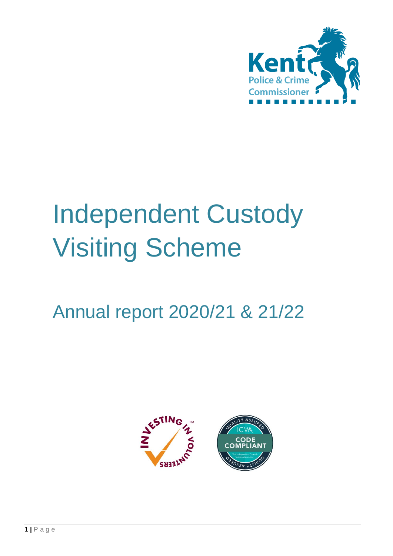

# Independent Custody Visiting Scheme

# Annual report 2020/21 & 21/22

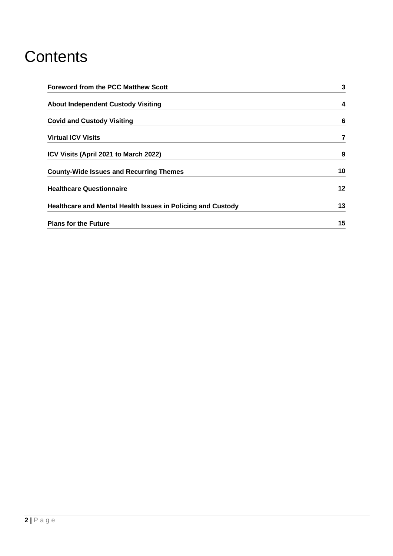### **Contents**

| <b>Foreword from the PCC Matthew Scott</b>                         | 3  |
|--------------------------------------------------------------------|----|
| <b>About Independent Custody Visiting</b>                          | 4  |
| <b>Covid and Custody Visiting</b>                                  | 6  |
| <b>Virtual ICV Visits</b>                                          | 7  |
| ICV Visits (April 2021 to March 2022)                              | 9  |
| <b>County-Wide Issues and Recurring Themes</b>                     | 10 |
| <b>Healthcare Questionnaire</b>                                    | 12 |
| <b>Healthcare and Mental Health Issues in Policing and Custody</b> | 13 |
| <b>Plans for the Future</b>                                        | 15 |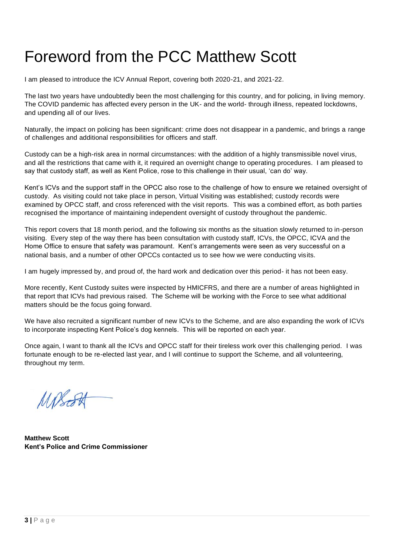### Foreword from the PCC Matthew Scott

I am pleased to introduce the ICV Annual Report, covering both 2020-21, and 2021-22.

The last two years have undoubtedly been the most challenging for this country, and for policing, in living memory. The COVID pandemic has affected every person in the UK- and the world- through illness, repeated lockdowns, and upending all of our lives.

Naturally, the impact on policing has been significant: crime does not disappear in a pandemic, and brings a range of challenges and additional responsibilities for officers and staff.

Custody can be a high-risk area in normal circumstances: with the addition of a highly transmissible novel virus, and all the restrictions that came with it, it required an overnight change to operating procedures. I am pleased to say that custody staff, as well as Kent Police, rose to this challenge in their usual, 'can do' way.

Kent's ICVs and the support staff in the OPCC also rose to the challenge of how to ensure we retained oversight of custody. As visiting could not take place in person, Virtual Visiting was established; custody records were examined by OPCC staff, and cross referenced with the visit reports. This was a combined effort, as both parties recognised the importance of maintaining independent oversight of custody throughout the pandemic.

This report covers that 18 month period, and the following six months as the situation slowly returned to in-person visiting. Every step of the way there has been consultation with custody staff, ICVs, the OPCC, ICVA and the Home Office to ensure that safety was paramount. Kent's arrangements were seen as very successful on a national basis, and a number of other OPCCs contacted us to see how we were conducting visits.

I am hugely impressed by, and proud of, the hard work and dedication over this period- it has not been easy.

More recently, Kent Custody suites were inspected by HMICFRS, and there are a number of areas highlighted in that report that ICVs had previous raised. The Scheme will be working with the Force to see what additional matters should be the focus going forward.

We have also recruited a significant number of new ICVs to the Scheme, and are also expanding the work of ICVs to incorporate inspecting Kent Police's dog kennels. This will be reported on each year.

Once again, I want to thank all the ICVs and OPCC staff for their tireless work over this challenging period. I was fortunate enough to be re-elected last year, and I will continue to support the Scheme, and all volunteering, throughout my term.

MPSESH

**Matthew Scott Kent's Police and Crime Commissioner**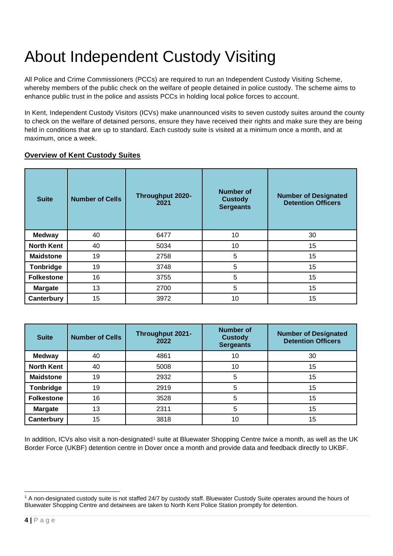## About Independent Custody Visiting

All Police and Crime Commissioners (PCCs) are required to run an Independent Custody Visiting Scheme, whereby members of the public check on the welfare of people detained in police custody. The scheme aims to enhance public trust in the police and assists PCCs in holding local police forces to account.

In Kent, Independent Custody Visitors (ICVs) make unannounced visits to seven custody suites around the county to check on the welfare of detained persons, ensure they have received their rights and make sure they are being held in conditions that are up to standard. Each custody suite is visited at a minimum once a month, and at maximum, once a week.

#### **Overview of Kent Custody Suites**

| <b>Suite</b>      | <b>Number of Cells</b> | <b>Throughput 2020-</b><br>2021 | Number of<br><b>Custody</b><br><b>Sergeants</b> | <b>Number of Designated</b><br><b>Detention Officers</b> |
|-------------------|------------------------|---------------------------------|-------------------------------------------------|----------------------------------------------------------|
| <b>Medway</b>     | 40                     | 6477                            | 10                                              | 30                                                       |
| <b>North Kent</b> | 40                     | 5034                            | 10                                              | 15                                                       |
| <b>Maidstone</b>  | 19                     | 2758                            | 5                                               | 15                                                       |
| <b>Tonbridge</b>  | 19                     | 3748                            | 5                                               | 15                                                       |
| <b>Folkestone</b> | 16                     | 3755                            | 5                                               | 15                                                       |
| <b>Margate</b>    | 13                     | 2700                            | 5                                               | 15                                                       |
| Canterbury        | 15                     | 3972                            | 10                                              | 15                                                       |

| <b>Suite</b>      | <b>Number of Cells</b> | <b>Throughput 2021-</b><br>2022 | <b>Number of</b><br><b>Custody</b><br><b>Sergeants</b> | <b>Number of Designated</b><br><b>Detention Officers</b> |
|-------------------|------------------------|---------------------------------|--------------------------------------------------------|----------------------------------------------------------|
| <b>Medway</b>     | 40                     | 4861                            | 10                                                     | 30                                                       |
| <b>North Kent</b> | 40                     | 5008                            | 10                                                     | 15                                                       |
| <b>Maidstone</b>  | 19                     | 2932                            | 5                                                      | 15                                                       |
| Tonbridge         | 19                     | 2919                            | 5                                                      | 15                                                       |
| <b>Folkestone</b> | 16                     | 3528                            | 5                                                      | 15                                                       |
| <b>Margate</b>    | 13                     | 2311                            | 5                                                      | 15                                                       |
| Canterbury        | 15                     | 3818                            | 10                                                     | 15                                                       |

In addition, ICVs also visit a non-designated<sup>1</sup> suite at Bluewater Shopping Centre twice a month, as well as the UK Border Force (UKBF) detention centre in Dover once a month and provide data and feedback directly to UKBF.

<sup>&</sup>lt;sup>1</sup> A non-designated custody suite is not staffed 24/7 by custody staff. Bluewater Custody Suite operates around the hours of Bluewater Shopping Centre and detainees are taken to North Kent Police Station promptly for detention.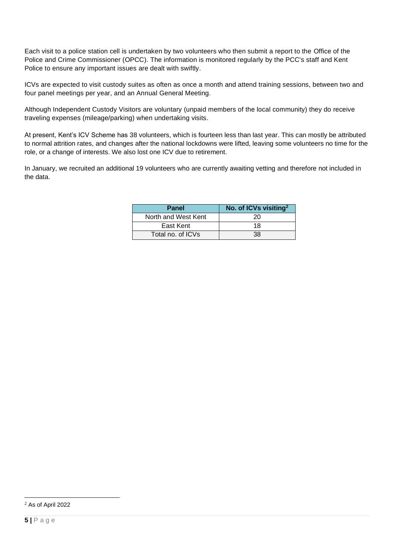Each visit to a police station cell is undertaken by two volunteers who then submit a report to the Office of the Police and Crime Commissioner (OPCC). The information is monitored regularly by the PCC's staff and Kent Police to ensure any important issues are dealt with swiftly.

ICVs are expected to visit custody suites as often as once a month and attend training sessions, between two and four panel meetings per year, and an Annual General Meeting.

Although Independent Custody Visitors are voluntary (unpaid members of the local community) they do receive traveling expenses (mileage/parking) when undertaking visits.

At present, Kent's ICV Scheme has 38 volunteers, which is fourteen less than last year. This can mostly be attributed to normal attrition rates, and changes after the national lockdowns were lifted, leaving some volunteers no time for the role, or a change of interests. We also lost one ICV due to retirement.

In January, we recruited an additional 19 volunteers who are currently awaiting vetting and therefore not included in the data.

| Panel               | No. of ICVs visiting <sup>2</sup> |
|---------------------|-----------------------------------|
| North and West Kent | 20                                |
| East Kent           | 18                                |
| Total no. of ICVs   | 38                                |

<sup>2</sup> As of April 2022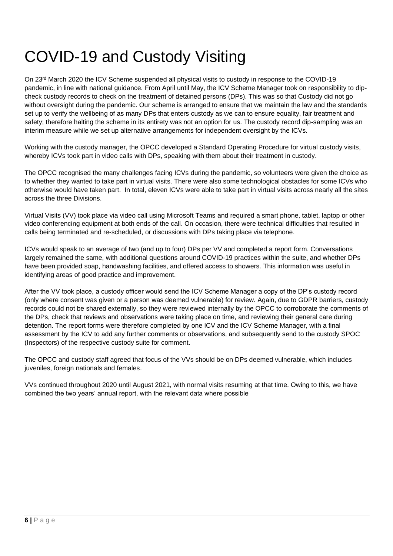### COVID-19 and Custody Visiting

On 23rd March 2020 the ICV Scheme suspended all physical visits to custody in response to the COVID-19 pandemic, in line with national guidance. From April until May, the ICV Scheme Manager took on responsibility to dipcheck custody records to check on the treatment of detained persons (DPs). This was so that Custody did not go without oversight during the pandemic. Our scheme is arranged to ensure that we maintain the law and the standards set up to verify the wellbeing of as many DPs that enters custody as we can to ensure equality, fair treatment and safety; therefore halting the scheme in its entirety was not an option for us. The custody record dip-sampling was an interim measure while we set up alternative arrangements for independent oversight by the ICVs.

Working with the custody manager, the OPCC developed a Standard Operating Procedure for virtual custody visits, whereby ICVs took part in video calls with DPs, speaking with them about their treatment in custody.

The OPCC recognised the many challenges facing ICVs during the pandemic, so volunteers were given the choice as to whether they wanted to take part in virtual visits. There were also some technological obstacles for some ICVs who otherwise would have taken part. In total, eleven ICVs were able to take part in virtual visits across nearly all the sites across the three Divisions.

Virtual Visits (VV) took place via video call using Microsoft Teams and required a smart phone, tablet, laptop or other video conferencing equipment at both ends of the call. On occasion, there were technical difficulties that resulted in calls being terminated and re-scheduled, or discussions with DPs taking place via telephone.

ICVs would speak to an average of two (and up to four) DPs per VV and completed a report form. Conversations largely remained the same, with additional questions around COVID-19 practices within the suite, and whether DPs have been provided soap, handwashing facilities, and offered access to showers. This information was useful in identifying areas of good practice and improvement.

After the VV took place, a custody officer would send the ICV Scheme Manager a copy of the DP's custody record (only where consent was given or a person was deemed vulnerable) for review. Again, due to GDPR barriers, custody records could not be shared externally, so they were reviewed internally by the OPCC to corroborate the comments of the DPs, check that reviews and observations were taking place on time, and reviewing their general care during detention. The report forms were therefore completed by one ICV and the ICV Scheme Manager, with a final assessment by the ICV to add any further comments or observations, and subsequently send to the custody SPOC (Inspectors) of the respective custody suite for comment.

The OPCC and custody staff agreed that focus of the VVs should be on DPs deemed vulnerable, which includes juveniles, foreign nationals and females.

VVs continued throughout 2020 until August 2021, with normal visits resuming at that time. Owing to this, we have combined the two years' annual report, with the relevant data where possible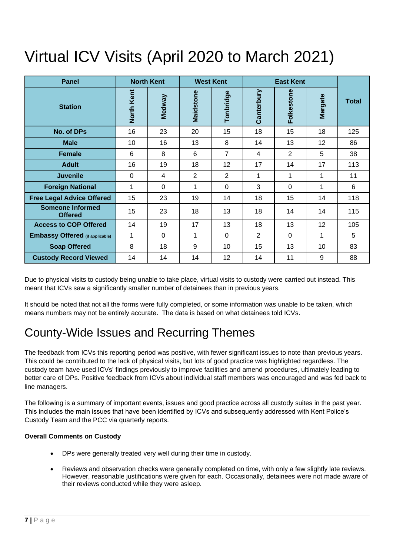### Virtual ICV Visits (April 2020 to March 2021)

| <b>Panel</b>                              | <b>North Kent</b> |          |           | <b>West Kent</b> | <b>East Kent</b> |                |                |              |
|-------------------------------------------|-------------------|----------|-----------|------------------|------------------|----------------|----------------|--------------|
| <b>Station</b>                            | North Kent        | Medway   | Maidstone | Tonbridge        | Canterbury       | Folkestone     | <b>Margate</b> | <b>Total</b> |
| <b>No. of DPs</b>                         | 16                | 23       | 20        | 15               | 18               | 15             | 18             | 125          |
| <b>Male</b>                               | 10                | 16       | 13        | 8                | 14               | 13             | 12             | 86           |
| <b>Female</b>                             | 6                 | 8        | 6         | $\overline{7}$   | 4                | $\overline{2}$ | 5              | 38           |
| <b>Adult</b>                              | 16                | 19       | 18        | 12               | 17               | 14             | 17             | 113          |
| <b>Juvenile</b>                           | $\Omega$          | 4        | 2         | $\overline{2}$   | 1                | 1              | 1              | 11           |
| <b>Foreign National</b>                   | 1                 | $\Omega$ | 1         | $\mathbf 0$      | 3                | $\mathbf 0$    | 1              | 6            |
| <b>Free Legal Advice Offered</b>          | 15                | 23       | 19        | 14               | 18               | 15             | 14             | 118          |
| <b>Someone Informed</b><br><b>Offered</b> | 15                | 23       | 18        | 13               | 18               | 14             | 14             | 115          |
| <b>Access to COP Offered</b>              | 14                | 19       | 17        | 13               | 18               | 13             | 12             | 105          |
| <b>Embassy Offered</b> (if applicable)    | 1                 | $\Omega$ | 1         | $\Omega$         | $\overline{2}$   | $\Omega$       | 1              | 5            |
| <b>Soap Offered</b>                       | 8                 | 18       | 9         | 10               | 15               | 13             | 10             | 83           |
| <b>Custody Record Viewed</b>              | 14                | 14       | 14        | 12               | 14               | 11             | 9              | 88           |

Due to physical visits to custody being unable to take place, virtual visits to custody were carried out instead. This meant that ICVs saw a significantly smaller number of detainees than in previous years.

It should be noted that not all the forms were fully completed, or some information was unable to be taken, which means numbers may not be entirely accurate. The data is based on what detainees told ICVs.

### County-Wide Issues and Recurring Themes

The feedback from ICVs this reporting period was positive, with fewer significant issues to note than previous years. This could be contributed to the lack of physical visits, but lots of good practice was highlighted regardless. The custody team have used ICVs' findings previously to improve facilities and amend procedures, ultimately leading to better care of DPs. Positive feedback from ICVs about individual staff members was encouraged and was fed back to line managers.

The following is a summary of important events, issues and good practice across all custody suites in the past year. This includes the main issues that have been identified by ICVs and subsequently addressed with Kent Police's Custody Team and the PCC via quarterly reports.

#### **Overall Comments on Custody**

- DPs were generally treated very well during their time in custody.
- Reviews and observation checks were generally completed on time, with only a few slightly late reviews. However, reasonable justifications were given for each. Occasionally, detainees were not made aware of their reviews conducted while they were asleep.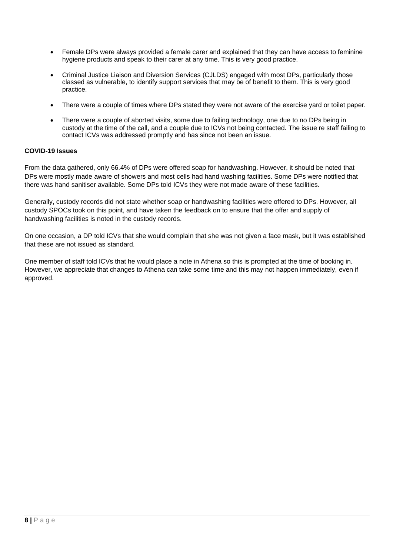- Female DPs were always provided a female carer and explained that they can have access to feminine hygiene products and speak to their carer at any time. This is very good practice.
- Criminal Justice Liaison and Diversion Services (CJLDS) engaged with most DPs, particularly those classed as vulnerable, to identify support services that may be of benefit to them. This is very good practice.
- There were a couple of times where DPs stated they were not aware of the exercise yard or toilet paper.
- There were a couple of aborted visits, some due to failing technology, one due to no DPs being in custody at the time of the call, and a couple due to ICVs not being contacted. The issue re staff failing to contact ICVs was addressed promptly and has since not been an issue.

#### **COVID-19 Issues**

From the data gathered, only 66.4% of DPs were offered soap for handwashing. However, it should be noted that DPs were mostly made aware of showers and most cells had hand washing facilities. Some DPs were notified that there was hand sanitiser available. Some DPs told ICVs they were not made aware of these facilities.

Generally, custody records did not state whether soap or handwashing facilities were offered to DPs. However, all custody SPOCs took on this point, and have taken the feedback on to ensure that the offer and supply of handwashing facilities is noted in the custody records.

On one occasion, a DP told ICVs that she would complain that she was not given a face mask, but it was established that these are not issued as standard.

One member of staff told ICVs that he would place a note in Athena so this is prompted at the time of booking in. However, we appreciate that changes to Athena can take some time and this may not happen immediately, even if approved.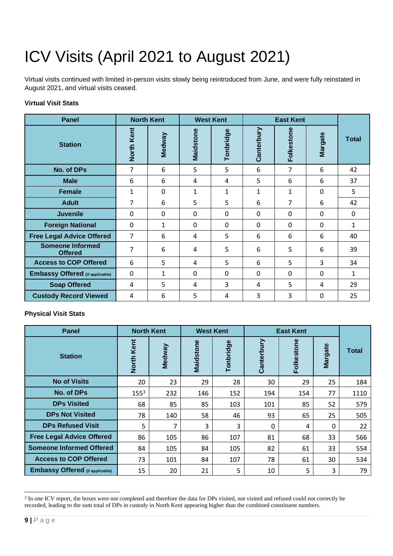# ICV Visits (April 2021 to August 2021)

Virtual visits continued with limited in-person visits slowly being reintroduced from June, and were fully reinstated in August 2021, and virtual visits ceased.

#### **Virtual Visit Stats**

| <b>Panel</b>                              |            | <b>North Kent</b> |              | <b>West Kent</b> | <b>East Kent</b> |              |                |              |
|-------------------------------------------|------------|-------------------|--------------|------------------|------------------|--------------|----------------|--------------|
| <b>Station</b>                            | North Kent | Medway            | Maidstone    | Tonbridge        | Canterbury       | Folkestone   | <b>Margate</b> | <b>Total</b> |
| <b>No. of DPs</b>                         | 7          | 6                 | 5            | 5                | 6                | 7            | 6              | 42           |
| <b>Male</b>                               | 6          | 6                 | 4            | 4                | 5                | 6            | 6              | 37           |
| <b>Female</b>                             | 1          | $\mathbf 0$       | 1            | $\mathbf{1}$     | 1                | 1            | $\Omega$       | 5            |
| <b>Adult</b>                              | 7          | 6                 | 5            | 5                | 6                | 7            | 6              | 42           |
| <b>Juvenile</b>                           | 0          | $\mathbf{0}$      | $\mathbf{0}$ | $\mathbf{0}$     | 0                | $\Omega$     | $\Omega$       | 0            |
| <b>Foreign National</b>                   | $\Omega$   | 1                 | $\Omega$     | $\Omega$         | 0                | $\mathbf{0}$ | $\Omega$       | 1            |
| <b>Free Legal Advice Offered</b>          | 7          | 6                 | 4            | 5                | 6                | 6            | 6              | 40           |
| <b>Someone Informed</b><br><b>Offered</b> | 7          | 6                 | 4            | 5                | 6                | 5            | 6              | 39           |
| <b>Access to COP Offered</b>              | 6          | 5                 | 4            | 5                | 6                | 5            | 3              | 34           |
| <b>Embassy Offered</b> (if applicable)    | 0          | 1                 | 0            | $\mathbf 0$      | 0                | $\Omega$     | $\Omega$       | 1            |
| <b>Soap Offered</b>                       | 4          | 5                 | 4            | 3                | 4                | 5            | 4              | 29           |
| <b>Custody Record Viewed</b>              | 4          | 6                 | 5            | 4                | 3                | 3            | $\Omega$       | 25           |

#### **Physical Visit Stats**

| <b>Panel</b>                           | <b>North Kent</b>    |        |           | <b>West Kent</b> | <b>East Kent</b> |            |                |       |
|----------------------------------------|----------------------|--------|-----------|------------------|------------------|------------|----------------|-------|
| <b>Station</b>                         | Kent<br><b>North</b> | Medway | Maidstone | Tonbridge        | Canterbury       | Folkestone | <b>Margate</b> | Total |
| <b>No of Visits</b>                    | 20                   | 23     | 29        | 28               | 30               | 29         | 25             | 184   |
| <b>No. of DPs</b>                      | 155 <sup>3</sup>     | 232    | 146       | 152              | 194              | 154        | 77             | 1110  |
| <b>DPs Visited</b>                     | 68                   | 85     | 85        | 103              | 101              | 85         | 52             | 579   |
| <b>DPs Not Visited</b>                 | 78                   | 140    | 58        | 46               | 93               | 65         | 25             | 505   |
| <b>DPs Refused Visit</b>               | 5                    | 7      | 3         | 3                | 0                | 4          | 0              | 22    |
| <b>Free Legal Advice Offered</b>       | 86                   | 105    | 86        | 107              | 81               | 68         | 33             | 566   |
| <b>Someone Informed Offered</b>        | 84                   | 105    | 84        | 105              | 82               | 61         | 33             | 554   |
| <b>Access to COP Offered</b>           | 73                   | 101    | 84        | 107              | 78               | 61         | 30             | 534   |
| <b>Embassy Offered (if applicable)</b> | 15                   | 20     | 21        | 5                | 10               | 5          | 3              | 79    |

<sup>&</sup>lt;sup>3</sup> In one ICV report, the boxes were not completed and therefore the data for DPs visited, not visited and refused could not correctly be recorded, leading to the sum total of DPs in custody in North Kent appearing higher than the combined constituent numbers.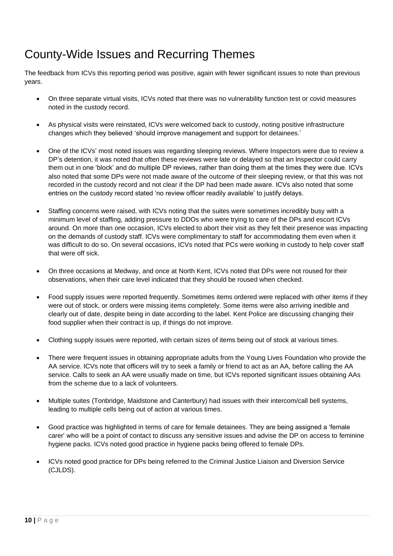### County-Wide Issues and Recurring Themes

The feedback from ICVs this reporting period was positive, again with fewer significant issues to note than previous years.

- On three separate virtual visits, ICVs noted that there was no vulnerability function test or covid measures noted in the custody record.
- As physical visits were reinstated, ICVs were welcomed back to custody, noting positive infrastructure changes which they believed 'should improve management and support for detainees.'
- One of the ICVs' most noted issues was regarding sleeping reviews. Where Inspectors were due to review a DP's detention, it was noted that often these reviews were late or delayed so that an Inspector could carry them out in one 'block' and do multiple DP reviews, rather than doing them at the times they were due. ICVs also noted that some DPs were not made aware of the outcome of their sleeping review, or that this was not recorded in the custody record and not clear if the DP had been made aware. ICVs also noted that some entries on the custody record stated 'no review officer readily available' to justify delays.
- Staffing concerns were raised, with ICVs noting that the suites were sometimes incredibly busy with a minimum level of staffing, adding pressure to DDOs who were trying to care of the DPs and escort ICVs around. On more than one occasion, ICVs elected to abort their visit as they felt their presence was impacting on the demands of custody staff. ICVs were complimentary to staff for accommodating them even when it was difficult to do so. On several occasions, ICVs noted that PCs were working in custody to help cover staff that were off sick.
- On three occasions at Medway, and once at North Kent, ICVs noted that DPs were not roused for their observations, when their care level indicated that they should be roused when checked.
- Food supply issues were reported frequently. Sometimes items ordered were replaced with other items if they were out of stock, or orders were missing items completely. Some items were also arriving inedible and clearly out of date, despite being in date according to the label. Kent Police are discussing changing their food supplier when their contract is up, if things do not improve.
- Clothing supply issues were reported, with certain sizes of items being out of stock at various times.
- There were frequent issues in obtaining appropriate adults from the Young Lives Foundation who provide the AA service. ICVs note that officers will try to seek a family or friend to act as an AA, before calling the AA service. Calls to seek an AA were usually made on time, but ICVs reported significant issues obtaining AAs from the scheme due to a lack of volunteers.
- Multiple suites (Tonbridge, Maidstone and Canterbury) had issues with their intercom/call bell systems, leading to multiple cells being out of action at various times.
- Good practice was highlighted in terms of care for female detainees. They are being assigned a 'female carer' who will be a point of contact to discuss any sensitive issues and advise the DP on access to feminine hygiene packs. ICVs noted good practice in hygiene packs being offered to female DPs.
- ICVs noted good practice for DPs being referred to the Criminal Justice Liaison and Diversion Service (CJLDS).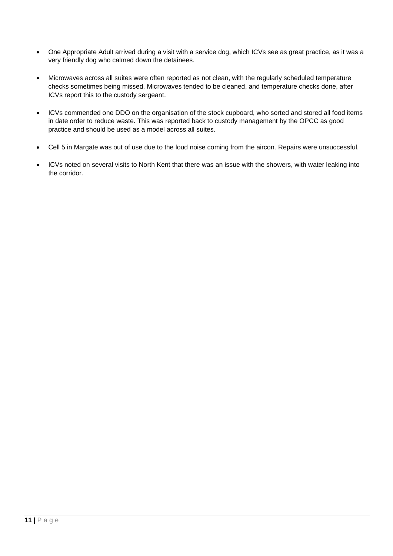- One Appropriate Adult arrived during a visit with a service dog, which ICVs see as great practice, as it was a very friendly dog who calmed down the detainees.
- Microwaves across all suites were often reported as not clean, with the regularly scheduled temperature checks sometimes being missed. Microwaves tended to be cleaned, and temperature checks done, after ICVs report this to the custody sergeant.
- ICVs commended one DDO on the organisation of the stock cupboard, who sorted and stored all food items in date order to reduce waste. This was reported back to custody management by the OPCC as good practice and should be used as a model across all suites.
- Cell 5 in Margate was out of use due to the loud noise coming from the aircon. Repairs were unsuccessful.
- ICVs noted on several visits to North Kent that there was an issue with the showers, with water leaking into the corridor.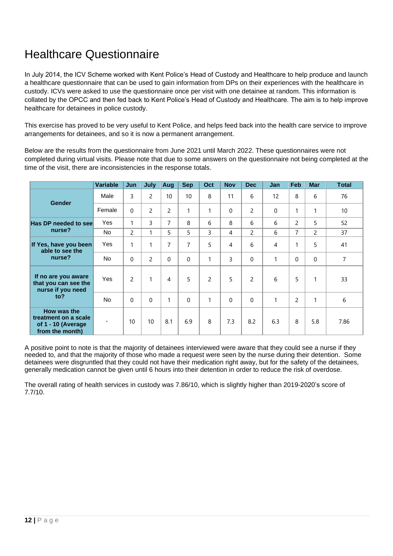### Healthcare Questionnaire

In July 2014, the ICV Scheme worked with Kent Police's Head of Custody and Healthcare to help produce and launch a healthcare questionnaire that can be used to gain information from DPs on their experiences with the healthcare in custody. ICVs were asked to use the questionnaire once per visit with one detainee at random. This information is collated by the OPCC and then fed back to Kent Police's Head of Custody and Healthcare. The aim is to help improve healthcare for detainees in police custody.

This exercise has proved to be very useful to Kent Police, and helps feed back into the health care service to improve arrangements for detainees, and so it is now a permanent arrangement.

Below are the results from the questionnaire from June 2021 until March 2022. These questionnaires were not completed during virtual visits. Please note that due to some answers on the questionnaire not being completed at the time of the visit, there are inconsistencies in the response totals.

|                                                                              | <b>Variable</b> | Jun                      | July           | Aug            | <b>Sep</b>     | Oct            | <b>Nov</b> | <b>Dec</b>     | Jan | Feb            | <b>Mar</b>     | <b>Total</b> |
|------------------------------------------------------------------------------|-----------------|--------------------------|----------------|----------------|----------------|----------------|------------|----------------|-----|----------------|----------------|--------------|
| <b>Gender</b>                                                                | Male            | 3                        | $\overline{2}$ | 10             | 10             | 8              | 11         | 6              | 12  | 8              | 6              | 76           |
|                                                                              | Female          | $\Omega$                 | $\overline{2}$ | 2              | 1              |                | 0          | $\overline{c}$ | 0   | 1              | $\mathbf{1}$   | 10           |
| Has DP needed to see                                                         | Yes             | 1                        | 3              | 7              | 8              | 6              | 8          | 6              | 6   | $\overline{2}$ | 5              | 52           |
| nurse?                                                                       | No.             | $\overline{2}$           |                | 5              | 5              | 3              | 4          | $\overline{2}$ | 6   | 7              | $\overline{2}$ | 37           |
| If Yes, have you been<br>able to see the<br>nurse?                           | Yes             | 1                        | 1              | 7              | $\overline{7}$ | 5              | 4          | 6              | 4   | $\mathbf{1}$   | 5              | 41           |
|                                                                              | <b>No</b>       | $\Omega$                 | $\overline{2}$ | $\Omega$       | $\Omega$       | 1              | 3          | $\Omega$       | 1   | $\Omega$       | $\Omega$       | 7            |
| If no are you aware<br>that you can see the<br>nurse if you need<br>to?      | Yes             | $\overline{\phantom{a}}$ | $\mathbf{1}$   | $\overline{4}$ | 5              | $\overline{c}$ | 5          | $\overline{c}$ | 6   | 5              | 1              | 33           |
|                                                                              | <b>No</b>       | $\Omega$                 | $\Omega$       | 1              | $\mathbf{0}$   | 1              | $\Omega$   | $\overline{0}$ | 1   | $\overline{c}$ | 1              | 6            |
| How was the<br>treatment on a scale<br>of 1 - 10 (Average<br>from the month) |                 | 10                       | 10             | 8.1            | 6.9            | 8              | 7.3        | 8.2            | 6.3 | 8              | 5.8            | 7.86         |

A positive point to note is that the majority of detainees interviewed were aware that they could see a nurse if they needed to, and that the majority of those who made a request were seen by the nurse during their detention. Some detainees were disgruntled that they could not have their medication right away, but for the safety of the detainees, generally medication cannot be given until 6 hours into their detention in order to reduce the risk of overdose.

The overall rating of health services in custody was 7.86/10, which is slightly higher than 2019-2020's score of 7.7/10.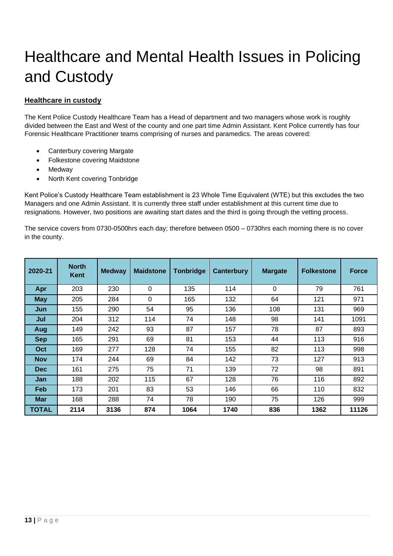## Healthcare and Mental Health Issues in Policing and Custody

#### **Healthcare in custody**

The Kent Police Custody Healthcare Team has a Head of department and two managers whose work is roughly divided between the East and West of the county and one part time Admin Assistant. Kent Police currently has four Forensic Healthcare Practitioner teams comprising of nurses and paramedics. The areas covered:

- Canterbury covering Margate
- Folkestone covering Maidstone
- Medway
- North Kent covering Tonbridge

Kent Police's Custody Healthcare Team establishment is 23 Whole Time Equivalent (WTE) but this excludes the two Managers and one Admin Assistant. It is currently three staff under establishment at this current time due to resignations. However, two positions are awaiting start dates and the third is going through the vetting process.

The service covers from 0730-0500hrs each day; therefore between 0500 – 0730hrs each morning there is no cover in the county.

| 2020-21      | <b>North</b><br><b>Kent</b> | <b>Medway</b> | <b>Maidstone</b> | <b>Tonbridge</b> | Canterbury | <b>Margate</b> | <b>Folkestone</b> | <b>Force</b> |
|--------------|-----------------------------|---------------|------------------|------------------|------------|----------------|-------------------|--------------|
| Apr          | 203                         | 230           | 0                | 135              | 114        | $\Omega$       | 79                | 761          |
| <b>May</b>   | 205                         | 284           | 0                | 165              | 132        | 64             | 121               | 971          |
| Jun          | 155                         | 290           | 54               | 95               | 136        | 108            | 131               | 969          |
| Jul          | 204                         | 312           | 114              | 74               | 148        | 98             | 141               | 1091         |
| Aug          | 149                         | 242           | 93               | 87               | 157        | 78             | 87                | 893          |
| <b>Sep</b>   | 165                         | 291           | 69               | 81               | 153        | 44             | 113               | 916          |
| Oct          | 169                         | 277           | 128              | 74               | 155        | 82             | 113               | 998          |
| <b>Nov</b>   | 174                         | 244           | 69               | 84               | 142        | 73             | 127               | 913          |
| <b>Dec</b>   | 161                         | 275           | 75               | 71               | 139        | 72             | 98                | 891          |
| Jan          | 188                         | 202           | 115              | 67               | 128        | 76             | 116               | 892          |
| <b>Feb</b>   | 173                         | 201           | 83               | 53               | 146        | 66             | 110               | 832          |
| <b>Mar</b>   | 168                         | 288           | 74               | 78               | 190        | 75             | 126               | 999          |
| <b>TOTAL</b> | 2114                        | 3136          | 874              | 1064             | 1740       | 836            | 1362              | 11126        |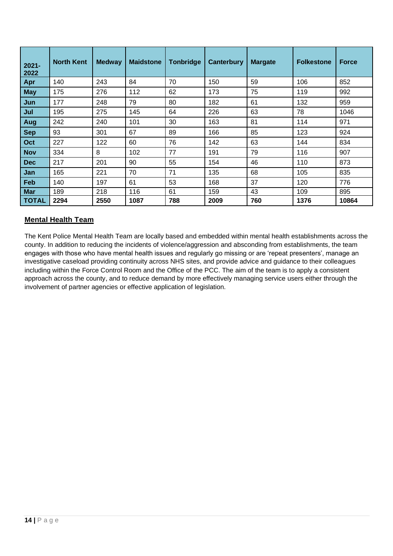| $2021 -$<br>2022 | <b>North Kent</b> | <b>Medway</b> | <b>Maidstone</b> | <b>Tonbridge</b> | <b>Canterbury</b> | <b>Margate</b> | <b>Folkestone</b> | <b>Force</b> |
|------------------|-------------------|---------------|------------------|------------------|-------------------|----------------|-------------------|--------------|
| Apr              | 140               | 243           | 84               | 70               | 150               | 59             | 106               | 852          |
| <b>May</b>       | 175               | 276           | 112              | 62               | 173               | 75             | 119               | 992          |
| Jun              | 177               | 248           | 79               | 80               | 182               | 61             | 132               | 959          |
| Jul              | 195               | 275           | 145              | 64               | 226               | 63             | 78                | 1046         |
| Aug              | 242               | 240           | 101              | 30               | 163               | 81             | 114               | 971          |
| <b>Sep</b>       | 93                | 301           | 67               | 89               | 166               | 85             | 123               | 924          |
| Oct              | 227               | 122           | 60               | 76               | 142               | 63             | 144               | 834          |
| <b>Nov</b>       | 334               | 8             | 102              | 77               | 191               | 79             | 116               | 907          |
| <b>Dec</b>       | 217               | 201           | 90               | 55               | 154               | 46             | 110               | 873          |
| Jan              | 165               | 221           | 70               | 71               | 135               | 68             | 105               | 835          |
| Feb              | 140               | 197           | 61               | 53               | 168               | 37             | 120               | 776          |
| <b>Mar</b>       | 189               | 218           | 116              | 61               | 159               | 43             | 109               | 895          |
| <b>TOTAL</b>     | 2294              | 2550          | 1087             | 788              | 2009              | 760            | 1376              | 10864        |

#### **Mental Health Team**

The Kent Police Mental Health Team are locally based and embedded within mental health establishments across the county. In addition to reducing the incidents of violence/aggression and absconding from establishments, the team engages with those who have mental health issues and regularly go missing or are 'repeat presenters', manage an investigative caseload providing continuity across NHS sites, and provide advice and guidance to their colleagues including within the Force Control Room and the Office of the PCC. The aim of the team is to apply a consistent approach across the county, and to reduce demand by more effectively managing service users either through the involvement of partner agencies or effective application of legislation.